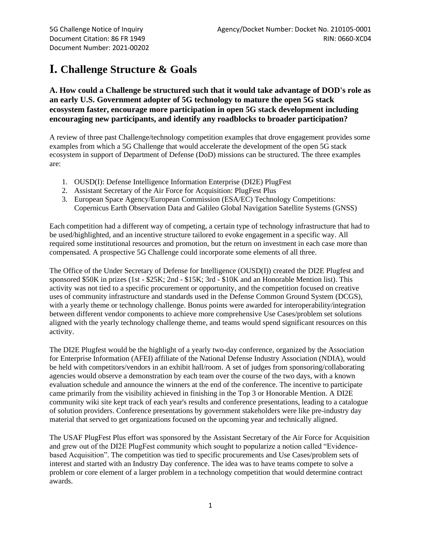# **I. Challenge Structure & Goals**

### **A. How could a Challenge be structured such that it would take advantage of DOD's role as an early U.S. Government adopter of 5G technology to mature the open 5G stack ecosystem faster, encourage more participation in open 5G stack development including encouraging new participants, and identify any roadblocks to broader participation?**

A review of three past Challenge/technology competition examples that drove engagement provides some examples from which a 5G Challenge that would accelerate the development of the open 5G stack ecosystem in support of Department of Defense (DoD) missions can be structured. The three examples are:

- 1. OUSD(I): Defense Intelligence Information Enterprise (DI2E) PlugFest
- 2. Assistant Secretary of the Air Force for Acquisition: PlugFest Plus
- 3. European Space Agency/European Commission (ESA/EC) Technology Competitions: Copernicus Earth Observation Data and Galileo Global Navigation Satellite Systems (GNSS)

Each competition had a different way of competing, a certain type of technology infrastructure that had to be used/highlighted, and an incentive structure tailored to evoke engagement in a specific way. All required some institutional resources and promotion, but the return on investment in each case more than compensated. A prospective 5G Challenge could incorporate some elements of all three.

The Office of the Under Secretary of Defense for Intelligence (OUSD(I)) created the DI2E Plugfest and sponsored \$50K in prizes (1st - \$25K; 2nd - \$15K; 3rd - \$10K and an Honorable Mention list). This activity was not tied to a specific procurement or opportunity, and the competition focused on creative uses of community infrastructure and standards used in the Defense Common Ground System (DCGS), with a yearly theme or technology challenge. Bonus points were awarded for interoperability/integration between different vendor components to achieve more comprehensive Use Cases/problem set solutions aligned with the yearly technology challenge theme, and teams would spend significant resources on this activity.

The DI2E Plugfest would be the highlight of a yearly two-day conference, organized by the Association for Enterprise Information (AFEI) affiliate of the National Defense Industry Association (NDIA), would be held with competitors/vendors in an exhibit hall/room. A set of judges from sponsoring/collaborating agencies would observe a demonstration by each team over the course of the two days, with a known evaluation schedule and announce the winners at the end of the conference. The incentive to participate came primarily from the visibility achieved in finishing in the Top 3 or Honorable Mention. A DI2E community wiki site kept track of each year's results and conference presentations, leading to a catalogue of solution providers. Conference presentations by government stakeholders were like pre-industry day material that served to get organizations focused on the upcoming year and technically aligned.

The USAF PlugFest Plus effort was sponsored by the Assistant Secretary of the Air Force for Acquisition and grew out of the DI2E PlugFest community which sought to popularize a notion called "Evidencebased Acquisition". The competition was tied to specific procurements and Use Cases/problem sets of interest and started with an Industry Day conference. The idea was to have teams compete to solve a problem or core element of a larger problem in a technology competition that would determine contract awards.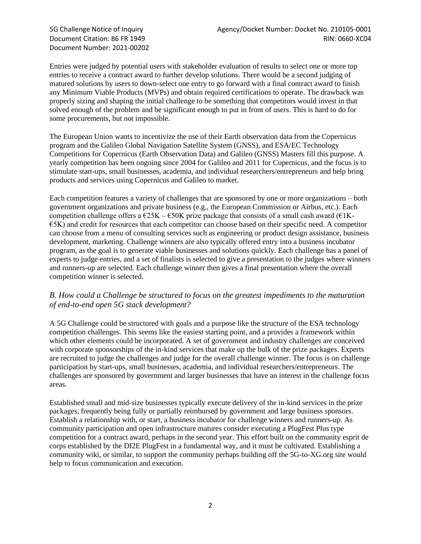Document Number: 2021-00202

Entries were judged by potential users with stakeholder evaluation of results to select one or more top entries to receive a contract award to further develop solutions. There would be a second judging of matured solutions by users to down-select one entry to go forward with a final contract award to finish any Minimum Viable Products (MVPs) and obtain required certifications to operate. The drawback was properly sizing and shaping the initial challenge to be something that competitors would invest in that solved enough of the problem and be significant enough to put in front of users. This is hard to do for some procurements, but not impossible.

The European Union wants to incentivize the use of their Earth observation data from the Copernicus program and the Galileo Global Navigation Satellite System (GNSS), and ESA/EC Technology Competitions for Copernicus (Earth Observation Data) and Galileo (GNSS) Masters fill this purpose. A yearly competition has been ongoing since 2004 for Galileo and 2011 for Copernicus, and the focus is to stimulate start-ups, small businesses, academia, and individual researchers/entrepreneurs and help bring products and services using Copernicus and Galileo to market.

Each competition features a variety of challenges that are sponsored by one or more organizations – both government organizations and private business (e.g., the European Commission or Airbus, etc.). Each competition challenge offers a  $\epsilon$ 25K –  $\epsilon$ 50K prize package that consists of a small cash award ( $\epsilon$ 1K-€5K) and credit for resources that each competitor can choose based on their specific need. A competitor can choose from a menu of consulting services such as engineering or product design assistance, business development, marketing. Challenge winners are also typically offered entry into a business incubator program, as the goal is to generate viable businesses and solutions quickly. Each challenge has a panel of experts to judge entries, and a set of finalists is selected to give a presentation to the judges where winners and runners-up are selected. Each challenge winner then gives a final presentation where the overall competition winner is selected.

#### *B. How could a Challenge be structured to focus on the greatest impediments to the maturation of end-to-end open 5G stack development?*

A 5G Challenge could be structured with goals and a purpose like the structure of the ESA technology competition challenges. This seems like the easiest starting point, and a provides a framework within which other elements could be incorporated. A set of government and industry challenges are conceived with corporate sponsorships of the in-kind services that make up the bulk of the prize packages. Experts are recruited to judge the challenges and judge for the overall challenge winner. The focus is on challenge participation by start-ups, small businesses, academia, and individual researchers/entrepreneurs. The challenges are sponsored by government and larger businesses that have an interest in the challenge focus areas.

Established small and mid-size businesses typically execute delivery of the in-kind services in the prize packages, frequently being fully or partially reimbursed by government and large business sponsors. Establish a relationship with, or start, a business incubator for challenge winners and runners-up. As community participation and open infrastructure matures consider executing a PlugFest Plus type competition for a contract award, perhaps in the second year. This effort built on the community esprit de corps established by the DI2E PlugFest in a fundamental way, and it must be cultivated. Establishing a community wiki, or similar, to support the community perhaps building off the 5G-to-XG.org site would help to focus communication and execution.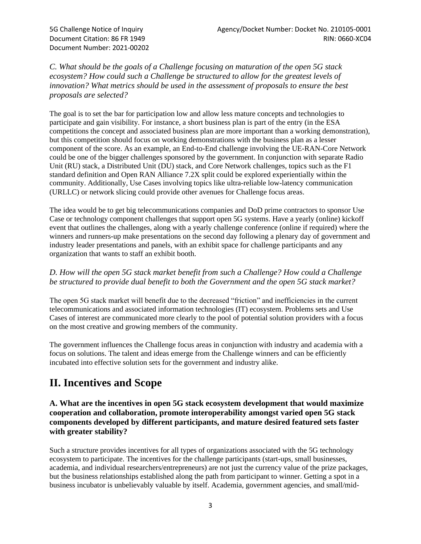*C. What should be the goals of a Challenge focusing on maturation of the open 5G stack ecosystem? How could such a Challenge be structured to allow for the greatest levels of innovation? What metrics should be used in the assessment of proposals to ensure the best proposals are selected?*

The goal is to set the bar for participation low and allow less mature concepts and technologies to participate and gain visibility. For instance, a short business plan is part of the entry (in the ESA competitions the concept and associated business plan are more important than a working demonstration), but this competition should focus on working demonstrations with the business plan as a lesser component of the score. As an example, an End-to-End challenge involving the UE-RAN-Core Network could be one of the bigger challenges sponsored by the government. In conjunction with separate Radio Unit (RU) stack, a Distributed Unit (DU) stack, and Core Network challenges, topics such as the F1 standard definition and Open RAN Alliance 7.2X split could be explored experientially within the community. Additionally, Use Cases involving topics like ultra-reliable low-latency communication (URLLC) or network slicing could provide other avenues for Challenge focus areas.

The idea would be to get big telecommunications companies and DoD prime contractors to sponsor Use Case or technology component challenges that support open 5G systems. Have a yearly (online) kickoff event that outlines the challenges, along with a yearly challenge conference (online if required) where the winners and runners-up make presentations on the second day following a plenary day of government and industry leader presentations and panels, with an exhibit space for challenge participants and any organization that wants to staff an exhibit booth.

#### *D. How will the open 5G stack market benefit from such a Challenge? How could a Challenge be structured to provide dual benefit to both the Government and the open 5G stack market?*

The open 5G stack market will benefit due to the decreased "friction" and inefficiencies in the current telecommunications and associated information technologies (IT) ecosystem. Problems sets and Use Cases of interest are communicated more clearly to the pool of potential solution providers with a focus on the most creative and growing members of the community.

The government influences the Challenge focus areas in conjunction with industry and academia with a focus on solutions. The talent and ideas emerge from the Challenge winners and can be efficiently incubated into effective solution sets for the government and industry alike.

## **II. Incentives and Scope**

**A. What are the incentives in open 5G stack ecosystem development that would maximize cooperation and collaboration, promote interoperability amongst varied open 5G stack components developed by different participants, and mature desired featured sets faster with greater stability?**

Such a structure provides incentives for all types of organizations associated with the 5G technology ecosystem to participate. The incentives for the challenge participants (start-ups, small businesses, academia, and individual researchers/entrepreneurs) are not just the currency value of the prize packages, but the business relationships established along the path from participant to winner. Getting a spot in a business incubator is unbelievably valuable by itself. Academia, government agencies, and small/mid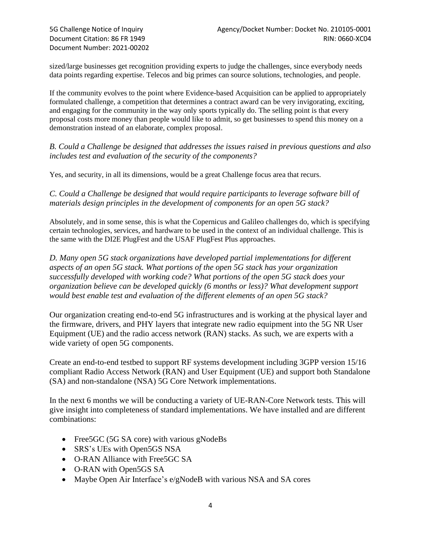sized/large businesses get recognition providing experts to judge the challenges, since everybody needs data points regarding expertise. Telecos and big primes can source solutions, technologies, and people.

If the community evolves to the point where Evidence-based Acquisition can be applied to appropriately formulated challenge, a competition that determines a contract award can be very invigorating, exciting, and engaging for the community in the way only sports typically do. The selling point is that every proposal costs more money than people would like to admit, so get businesses to spend this money on a demonstration instead of an elaborate, complex proposal.

*B. Could a Challenge be designed that addresses the issues raised in previous questions and also includes test and evaluation of the security of the components?*

Yes, and security, in all its dimensions, would be a great Challenge focus area that recurs.

*C. Could a Challenge be designed that would require participants to leverage software bill of materials design principles in the development of components for an open 5G stack?*

Absolutely, and in some sense, this is what the Copernicus and Galileo challenges do, which is specifying certain technologies, services, and hardware to be used in the context of an individual challenge. This is the same with the DI2E PlugFest and the USAF PlugFest Plus approaches.

*D. Many open 5G stack organizations have developed partial implementations for different aspects of an open 5G stack. What portions of the open 5G stack has your organization successfully developed with working code? What portions of the open 5G stack does your organization believe can be developed quickly (6 months or less)? What development support would best enable test and evaluation of the different elements of an open 5G stack?*

Our organization creating end-to-end 5G infrastructures and is working at the physical layer and the firmware, drivers, and PHY layers that integrate new radio equipment into the 5G NR User Equipment (UE) and the radio access network (RAN) stacks. As such, we are experts with a wide variety of open 5G components.

Create an end-to-end testbed to support RF systems development including 3GPP version 15/16 compliant Radio Access Network (RAN) and User Equipment (UE) and support both Standalone (SA) and non-standalone (NSA) 5G Core Network implementations.

In the next 6 months we will be conducting a variety of UE-RAN-Core Network tests. This will give insight into completeness of standard implementations. We have installed and are different combinations:

- Free 5GC (5G SA core) with various gNodeBs
- SRS's UEs with Open5GS NSA
- O-RAN Alliance with Free5GC SA
- O-RAN with Open5GS SA
- Maybe Open Air Interface's e/gNodeB with various NSA and SA cores